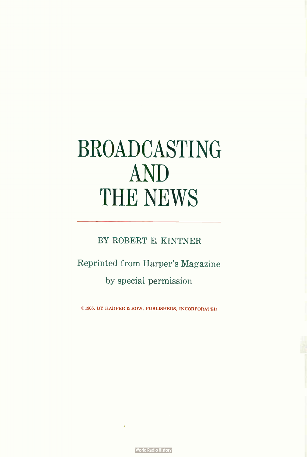# BROADCASTING AND THE NEWS

BY ROBERT E. KINTNER

Reprinted from Harper's Magazine by special permission

©1965, BY HARPER & ROW, PUBLISHERS, INCORPORATED

**World Radio History**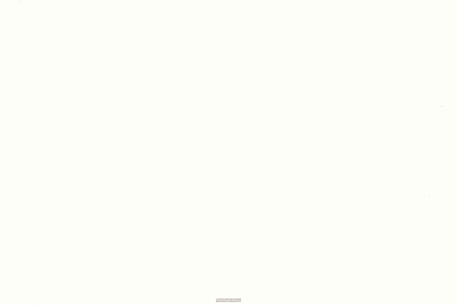**World Radio History** 

**Contractor** 

 $\sim 100$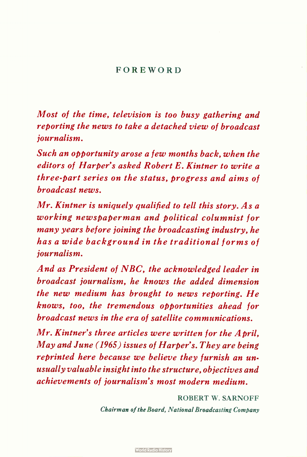#### **FOREWORD**

Most of the time, television is too busy gathering and reporting the news to take a detached view of broadcast journalism.

Such an opportunity arose a few months back, when the editors of Harper's asked Robert E. Kintner to write a three-part series on the status, progress and aims of broadcast news.

Mr. Kintner is uniquely qualified to tell this story. As a working newspaperman and political columnist for many years before joining the broadcasting industry, he has a wide background in the traditional forms of journalism.

And as President of NBC, the acknowledged leader in broadcast journalism, he knows the added dimension the new medium has brought to news reporting. He knows, too, the tremendous opportunities ahead for broadcast news in the era of satellite communications.

Mr. Kintner's three articles were written for the April, May and June (1965) issues of Harper's. They are being reprinted here because we believe they furnish an unusually valuable insight into the structure, objectives and achievements of journalism's most modern medium.

> ROBERT W. SARNOFF Chairman of the Board, National Broadcasting Company

> > **World Radio History**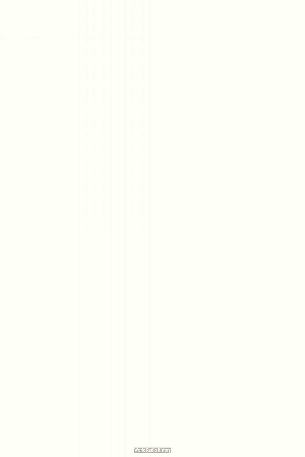**World Radio History**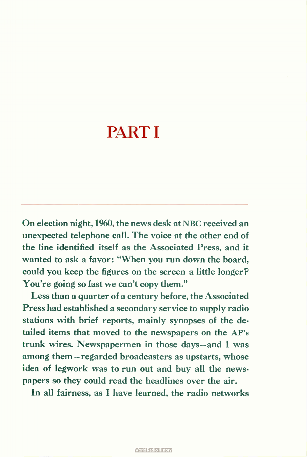## PART I

On election night, 1960, the news desk at NBC received an unexpected telephone call. The voice at the other end of the line identified itself as the Associated Press, and it wanted to ask a favor: "When you run down the board, could you keep the figures on the screen a little longer? You're going so fast we can't copy them."

Less than a quarter of a century before, the Associated Press had established a secondary service to supply radio stations with brief reports, mainly synopses of the detailed items that moved to the newspapers on the AP's trunk wires. Newspapermen in those days— and I was among them— regarded broadcasters as upstarts, whose idea of legwork was to run out and buy all the newspapers so they could read the headlines over the air.

In all fairness, as I have learned, the radio networks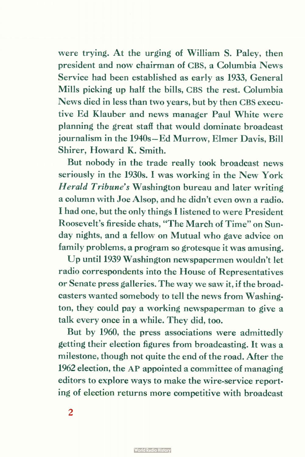were trying. At the urging of William S. Paley, then president and now chairman of CBS, a Columbia News Service had been established as early as 1933, General Mills picking up half the bills, CBS the rest. Columbia News died in less than two years, but by then CBS executive Ed Klauber and news manager Paul White were planning the great staff that would dominate broadcast journalism in the 1940s — Ed Murrow, Elmer Davis, Bill Shirer, Howard K. Smith.

But nobody in the trade really took broadcast news seriously in the 1930s. I was working in the New York Herald Tribune's Washington bureau and later writing a column with Joe Alsop, and he didn't even own a radio. I had one, but the only things I listened to were President Roosevelt's fireside chats, " The March of Time" on Sunday nights, and a fellow on Mutual who gave advice on family problems, a program so grotesque it was amusing.

Up until 1939 Washington newspapermen wouldn't let radio correspondents into the House of Representatives or Senate press galleries. The way we saw it, if the broadcasters wanted somebody to tell the news from Washington, they could pay a working newspaperman to give a talk every once in a while. They did, too.

But by 1960, the press associations were admittedly getting their election figures from broadcasting. It was a milestone, though not quite the end of the road. After the 1962 election, the AP appointed a committee of managing editors to explore ways to make the wire-service reporting of election returns more competitive with broadcast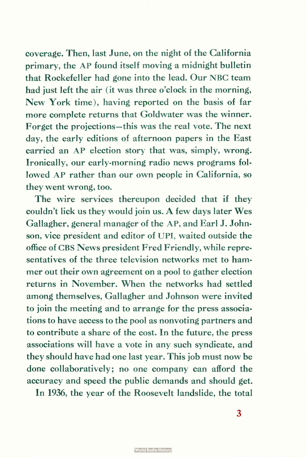coverage. Then, last June, on the night of the California primary, the AP found itself moving a midnight bulletin that Rockefeller had gone into the lead. Our NBC team had just left the air (it was three o'clock in the morning, New York time), having reported on the basis of far more complete returns that Goldwater was the winner. Forget the projections—this was the real vote. The next day, the early editions of afternoon papers in the East carried an AP election story that was, simply, wrong. Ironically, our early-morning radio news programs followed AP rather than our own people in California, so they went wrong, too.

The wire services thereupon decided that if they couldn't lick us they would join us. A few days later Wes Gallagher, general manager of the AP, and Earl J. Johnson, vice president and editor of UPI, waited outside the office of CBS News president Fred Friendly, while representatives of the three television networks met to hammer out their own agreement on a pool to gather election returns in November. When the networks had settled among themselves, Gallagher and Johnson were invited to join the meeting and to arrange for the press associations to have access to the pool as nonvoting partners and to contribute a share of the cost. In the future, the press associations will have a vote in any such syndicate, and they should have had one last year. This job must now be done collaboratively; no one company can afford the accuracy and speed the public demands and should get.

In 1936, the year of the Roosevelt landslide, the total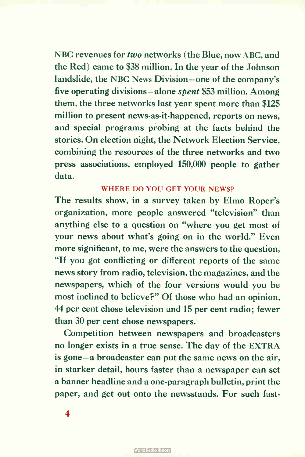NBC revenues for two networks ( the Blue, now ABC, and the Red) came to \$38 million. In the year of the Johnson landslide, the NBC News Division— one of the company's five operating divisions— alone spent \$53 million. Among them, the three networks last year spent more than \$125 million to present news-as-it-happened, reports on news, and special programs probing at the facts behind the stories. On election night, the Network Election Service, combining the resources of the three networks and two press associations, employed 150,000 people to gather data.

#### WHERE DO YOU GET YOUR NEWS?

The results show, in a survey taken by Elmo Roper's organization, more people answered "television" than anything else to a question on "where you get most of your news about what's going on in the world." Even more significant, to me, were the answers to the question, "If you got conflicting or different reports of the same news story from radio, television, the magazines, and the newspapers, which of the four versions would you be most inclined to believe?" Of those who had an opinion, 44 per cent chose television and 15 per cent radio; fewer than 30 per cent chose newspapers.

Competition between newspapers and broadcasters no longer exists in a true sense. The day of the EXTRA is gone— a broadcaster can put the same news on the air, in starker detail, hours faster than a newspaper can set a banner headline and a one- paragraph bulletin, print the paper, and get out onto the newsstands. For such fast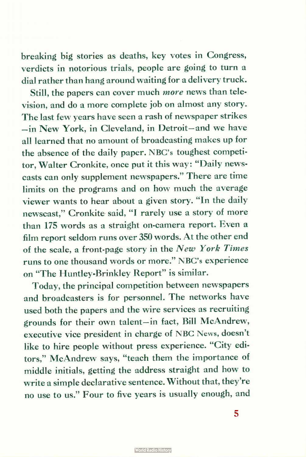breaking big stories as deaths, key votes in Congress, verdicts in notorious trials, people are going to turn a dial rather than hang around waiting for a delivery truck.

Still, the papers can cover much more news than television, and do a more complete job on almost any story. The last few years have seen a rash of newspaper strikes —in New York, in Cleveland, in Detroit— and we have all learned that no amount of broadcasting makes up for the absence of the daily paper. NBC's toughest competitor, Walter Cronkite, once put it this way: " Daily newscasts can only supplement newspapers." There are time limits on the programs and on how much the average viewer wants to hear about a given story. "In the daily newscast," Cronkite said, "I rarely use a story of more than 175 words as a straight on-camera report. Even a film report seldom runs over 350 words. At the other end of the scale, a front-page story in the New York Times runs to one thousand words or more." NBC's experience on "The Huntley-Brinkley Report" is similar.

Today, the principal competition between newspapers and broadcasters is for personnel. The networks have used both the papers and the wire services as recruiting grounds for their own talent— in fact, Bill McAndrew, executive vice president in charge of NBC News, doesn't like to hire people without press experience. "City editors," McAndrew says, "teach them the importance of middle initials, getting the address straight and how to write a simple declarative sentence. Without that, they're no use to us." Four to five years is usually enough, and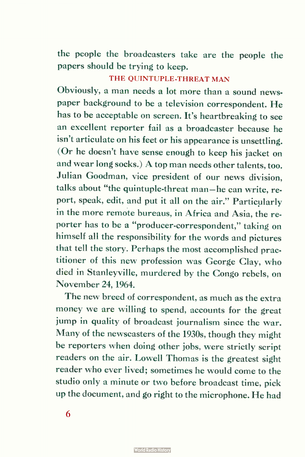the people the broadcasters take are the people the papers should be trying to keep.

### THE QUINTUPLE-THREAT MAN

Obviously, a man needs a lot more than a sound newspaper background to be a television correspondent. He has to be acceptable on screen. It's heartbreaking to see an excellent reporter fail as a broadcaster because he isn't articulate on his feet or his appearance is unsettling. (Or he doesn't have sense enough to keep his jacket on and wear long socks.) A top man needs other talents, too. Julian Goodman, vice president of our news division, talks about "the quintuple-threat man-he can write, report, speak, edit, and put it all on the air." Particularly in the more remote bureaus, in Africa and Asia, the reporter has to be a "producer-correspondent," taking on himself all the responsibility for the words and pictures that tell the story. Perhaps the most accomplished practitioner of this new profession was George Clay, who died in Stanleyville, murdered by the Congo rebels, on November 24, 1964.

The new breed of correspondent, as much as the extra money we are willing to spend, accounts for the great jump in quality of broadcast journalism since the war. Many of the newscasters of the 1930s, though they might be reporters when doing other jobs, were strictly script readers on the air. Lowell Thomas is the greatest sight reader who ever lived; sometimes he would come to the studio only a minute or two before broadcast time, pick up the document, and go right to the microphone. He had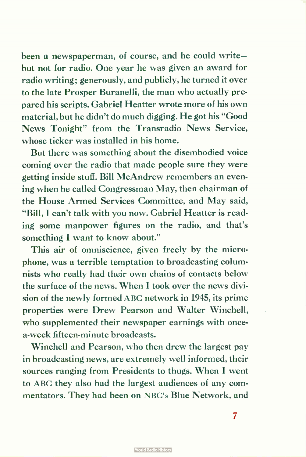been a newspaperman, of course, and he could writebut not for radio. One year he was given an award for radio writing; generously, and publicly, he turned it over to the late Prosper Buranelli, the man who actually prepared his scripts. Gabriel Heatter wrote more of his own material, but he didn't do much digging. He got his "Good" News Tonight" from the Transradio News Service, whose ticker was installed in his home.

But there was something about the disembodied voice coming over the radio that made people sure they were getting inside stuff. Bill McAndrew remembers an evening when he called Congressman May, then chairman of the House Armed Services Committee, and May said, "Bill, I can't talk with you now. Gabriel Heatter is reading some manpower figures on the radio, and that's something I want to know about."

This air of omniscience, given freely by the microphone, was a terrible temptation to broadcasting columnists who really had their own chains of contacts below the surface of the news. When I took over the news division of the newly formed ABC network in 1945, its prime properties were Drew Pearson and Walter Winchell, who supplemented their newspaper earnings with oncea- week fifteen -minute broadcasts.

Winchell and Pearson, who then drew the largest pay in broadcasting news, are extremely well informed, their sources ranging from Presidents to thugs. When I went to ABC they also had the largest audiences of any commentators. They had been on NBC's Blue Network, and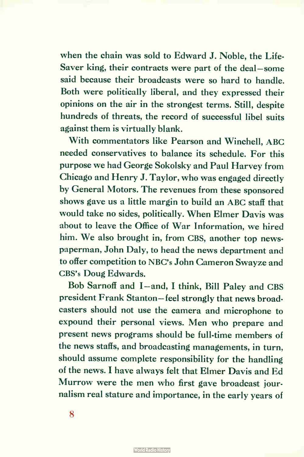when the chain was sold to Edward J. Noble, the Life-Saver king, their contracts were part of the deal-some said because their broadcasts were so hard to handle. Both were politically liberal, and they expressed their opinions on the air in the strongest terms. Still, despite hundreds of threats, the record of successful libel suits against them is virtually blank.

With commentators like Pearson and Winchell, ABC needed conservatives to balance its schedule. For this purpose we had George Sokolsky and Paul Harvey from Chicago and Henry J. Taylor, who was engaged directly by General Motors. The revenues from these sponsored shows gave us a little margin to build an ABC staff that would take no sides, politically. When Elmer Davis was about to leave the Office of War Information, we hired him. We also brought in, from CBS, another top newspaperman, John Daly, to head the news department and to offer competition to NBC's John Cameron Swayze and CBS's Doug Edwards.

Bob Sarnoff and I— and, I think, Bill Paley and CBS president Frank Stanton-feel strongly that news broadcasters should not use the camera and microphone to expound their personal views. Men who prepare and present news programs should be full-time members of the news staffs, and broadcasting managements, in turn, should assume complete responsibility for the handling of the news. I have always felt that Elmer Davis and Ed Murrow were the men who first gave broadcast journalism real stature and importance, in the early years of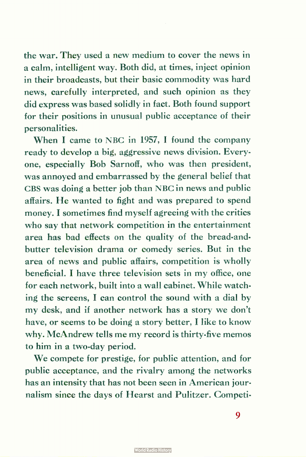the war. They used a new medium to cover the news in a calm, intelligent way. Both did, at times, inject opinion in their broadcasts, but their basic commodity was hard news, carefully interpreted, and such opinion as they did express was based solidly in fact. Both found support for their positions in unusual public acceptance of their personalities.

When I came to NBC in 1957. I found the company ready to develop a big, aggressive news division. Everyone, especially Bob Sarnoff, who was then president, was annoyed and embarrassed by the general belief that CBS was doing a better job than NBC in news and public affairs. He wanted to fight and was prepared to spend money. I sometimes find myself agreeing with the critics who say that network competition in the entertainment area has bad effects on the quality of the bread-andbutter television drama or comedy series. But in the area of news and public affairs, competition is wholly beneficial. I have three television sets in my office, one for each network, built into a wall cabinet. While watching the screens, I can control the sound with a dial by my desk, and if another network has a story we don't have, or seems to be doing a story better, I like to know why. McAndrew tells me my record is thirty-five memos to him in a two-day period.

We compete for prestige, for public attention, and for public acceptance, and the rivalry among the networks has an intensity that has not been seen in American journalism since the days of Hearst and Pulitzer. Competi-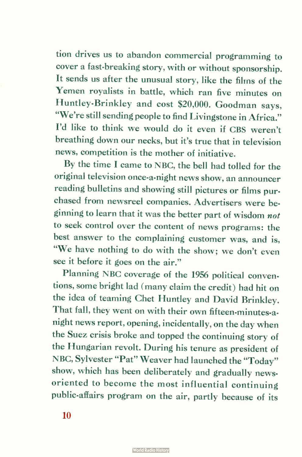tion drives us to abandon commercial programming to cover a fast-breaking story, with or without sponsorship. It sends us after the unusual story, like the films of the Yemen royalists in battle, which ran five minutes on Huntley- Brinkley and cost \$20,000. Goodman says, "We're still sending people to find Livingstone in Africa." I'd like to think we would do it even if CBS weren't breathing down our necks, but it's true that in television news, competition is the mother of initiative.

By the time I came to NBC, the bell had tolled for the original television once-a-night news show, an announcer reading bulletins and showing still pictures or films purchased from newsreel companies. Advertisers were beginning to learn that it was the better part of wisdom not to seek control over the content of news programs: the best answer to the complaining customer was, and is, "We have nothing to do with the show; we don't even see it before it goes on the air."

Planning NBC coverage of the 1956 political conventions, some bright lad ( many claim the credit) had hit on the idea of teaming Chet Huntley and David Brinkley. That fall, they went on with their own fifteen-minutes-anight news report, opening, incidentally, on the day when the Suez crisis broke and topped the continuing story of the Hungarian revolt. During his tenure as president of NBC, Sylvester "Pat" Weaver had launched the "Today" show, which has been deliberately and gradually newsoriented to become the most influential continuing public-affairs program on the air, partly because of its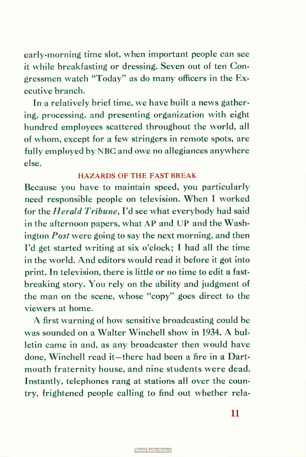early-morning time slot, when important people can see it while breakfasting or dressing. Seven out of ten Congressmen watch "Today" as do many officers in the Executive branch.

In a relatively brief time, we have built a news gathering, processing, and presenting organization with eight hundred employees scattered throughout the world, all of whom, except for a few stringers in remote spots, are fully employed by NBC and owe no allegiances anywhere else.

#### HAZARDS OF THE FAST BREAK

Because you have to maintain speed, you particularly need responsible people on television. When I worked for the Herald Tribune, I'd see what everybody had said in the afternoon papers, what AP and UP and the Washington Post were going to say the next morning, and then I'd get started writing at six o'clock; I had all the time in the world. And editors would read it before it got into print. In television, there is little or no time to edit a fastbreaking story. You rely on the ability and judgment of the man on the scene, whose "copy" goes direct to the viewers at home.

A first warning of how sensitive broadcasting could be was sounded on a Walter Winchell show in 1934. A bulletin came in and, as any broadcaster then would have done, Winchell read it— there had been a fire in a Dartmouth fraternity house, and nine students were dead. Instantly, telephones rang at stations all over the country, frightened people calling to find out whether rela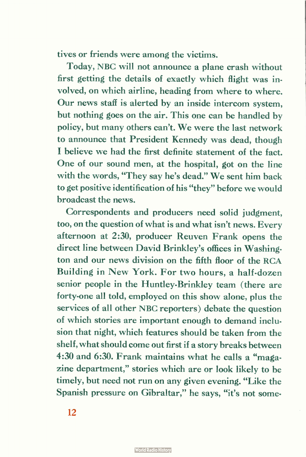tives or friends were among the victims.

Today, NBC will not announce a plane crash without first getting the details of exactly which flight was involved, on which airline, heading from where to where. Our news staff is alerted by an inside intercom system, but nothing goes on the air. This one can be handled by policy, but many others can't. We were the last network to announce that President Kennedy was dead, though I believe we had the first definite statement of the fact. One of our sound men, at the hospital, got on the line with the words, "They say he's dead." We sent him back to get positive identification of his "they" before we would broadcast the news.

Correspondents and producers need solid judgment, too, on the question of what is and what isn't news. Every afternoon at 2:30, producer Reuven Frank opens the direct line between David Brinkley's offices in Washington and our news division on the fifth floor of the RCA Building in New York. For two hours, a half-dozen senior people in the Huntley-Brinkley team (there are forty-one all told, employed on this show alone, plus the services of all other NBC reporters) debate the question of which stories are important enough to demand inclusion that night, which features should be taken from the shelf, what should come out first if a story breaks between 4:30 and 6:30. Frank maintains what he calls a "magazine department," stories which are or look likely to be timely, but need not run on any given evening. "Like the Spanish pressure on Gibraltar," he says, "it's not some-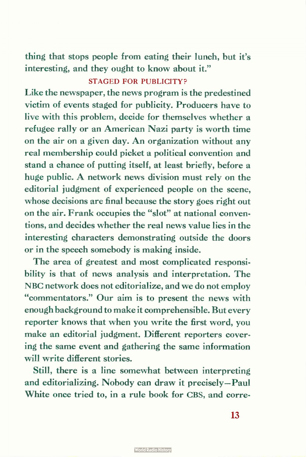thing that stops people from eating their lunch, but it's interesting, and they ought to know about it."

#### STAGED FOR PUBLICITY?

Like the newspaper, the news program is the predestined victim of events staged for publicity. Producers have to live with this problem, decide for themselves whether a refugee rally or an American Nazi party is worth time on the air on a given day. An organization without any real membership could picket a political convention and stand a chance of putting itself, at least briefly, before a huge public. A network news division must rely on the editorial judgment of experienced people on the scene, whose decisions are final because the story goes right out on the air. Frank occupies the " slot" at national conventions, and decides whether the real news value lies in the interesting characters demonstrating outside the doors or in the speech somebody is making inside.

The area of greatest and most complicated responsibility is that of news analysis and interpretation. The NBC network does not editorialize, and we do not employ "commentators." Our aim is to present the news with enough background to make it comprehensible. But every reporter knows that when you write the first word, you make an editorial judgment. Different reporters covering the same event and gathering the same information will write different stories.

Still, there is a line somewhat between interpreting and editorializing. Nobody can draw it precisely— Paul White once tried to, in a rule book for CBS, and corre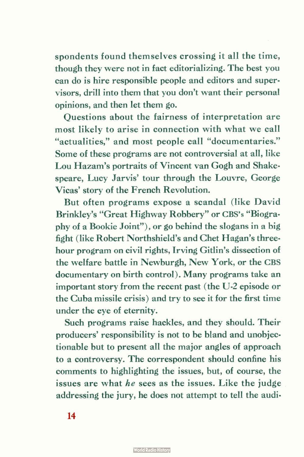spondents found themselves crossing it all the time, though they were not in fact editorializing. The best you can do is hire responsible people and editors and supervisors, drill into them that you don't want their personal opinions, and then let them go.

Questions about the fairness of interpretation are most likely to arise in connection with what we call "actualities," and most people call "documentaries." Some of these programs are not controversial at all, like Lou Hazam's portraits of Vincent van Gogh and Shakespeare, Lucy Jarvis' tour through the Louvre, George Vicas' story of the French Revolution.

But often programs expose a scandal (like David Brinkley's "Great Highway Robbery" or CBS's "Biography of a Bookie Joint"), or go behind the slogans in a big fight ( like Robert Northshield's and Chet Hagan's threehour program on civil rights, Irving Gitlin's dissection of the welfare battle in Newburgh, New York, or the CBS documentary on birth control). Many programs take an important story from the recent past ( the U-2 episode or the Cuba missile crisis) and try to see it for the first time under the eye of eternity.

Such programs raise hackles, and they should. Their producers' responsibility is not to be bland and unobjectionable but to present all the major angles of approach to a controversy. The correspondent should confine his comments to highlighting the issues, but, of course, the issues are what he sees as the issues. Like the judge addressing the jury, he does not attempt to tell the audi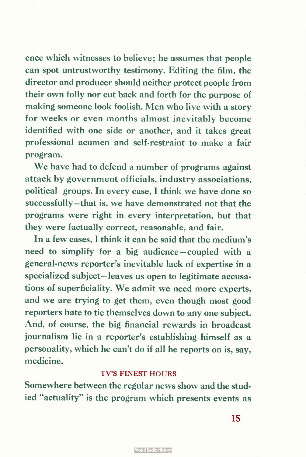ence which witnesses to believe; he assumes that people can spot untrustworthy testimony. Editing the film, the director and producer should neither protect people from their own folly nor cut back and forth for the purpose of making someone look foolish. Men who live with a story for weeks or even months almost inevitably become identified with one side or another, and it takes great professional acumen and self-restraint to make a fair program.

We have had to defend a number of programs against attack by government officials, industry associations, political groups. In every case, I think we have done so successfully— that is, we have demonstrated not that the programs were right in every interpretation, but that they were factually correct, reasonable, and fair.

In a few cases, I think it can be said that the medium's need to simplify for a big audience— coupled with a general- news reporter's inevitable lack of expertise in a specialized subject— leaves us open to legitimate accusations of superficiality. We admit we need more experts, and we are trying to get them, even though most good reporters hate to tie themselves down to any one subject. And, of course, the big financial rewards in broadcast journalism lie in a reporter's establishing himself as a personality, which he can't do if all he reports on is, say, medicine.

#### TV'S FINEST HOURS

Somewhere between the regular news show and the studied "actuality" is the program which presents events as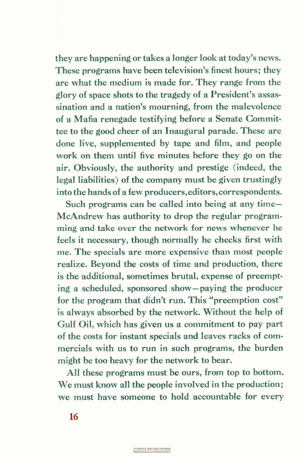they are happening or takes a longer look at today's news. These programs have been television's finest hours; they are what the medium is made for. They range from the glory of space shots to the tragedy of a President's assassination and a nation's mourning, from the malevolence of a Mafia renegade testifying before a Senate Committee to the good cheer of an Inaugural parade. These are done live, supplemented by tape and film, and people work on them until five minutes before they go on the air. Obviously, the authority and prestige ( indeed, the legal liabilities) of the company must be given trustingly into the hands of a few producers, editors, correspondents.

Such programs can be called into being at any time— McAndrew has authority to drop the regular programming and take over the network for news whenever he feels it necessary, though normally he checks first with me. The specials are more expensive than most people realize. Beyond the costs of time and production, there is the additional, sometimes brutal, expense of preempting a scheduled, sponsored show— paying the producer for the program that didn't run. This "preemption cost" is always absorbed by the network. Without the help of Gulf Oil, which has given us a commitment to pay part of the costs for instant specials and leaves racks of commercials with us to run in such programs, the burden might be too heavy for the network to bear.

All these programs must be ours, from top to bottom. We must know all the people involved in the production; we must have someone to hold accountable for every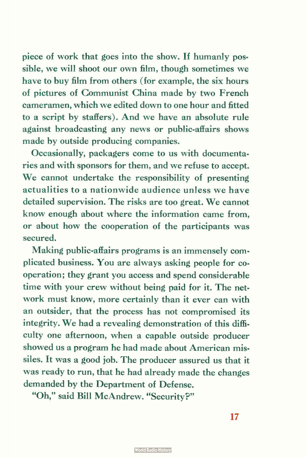piece of work that goes into the show. If humanly possible, we will shoot our own film, though sometimes we have to buy film from others ( for example, the six hours of pictures of Communist China made by two French cameramen, which we edited down to one hour and fitted to a script by staffers). And we have an absolute rule against broadcasting any news or public-affairs shows made by outside producing companies.

Occasionally, packagers come to us with documentaries and with sponsors for them, and we refuse to accept. We cannot undertake the responsibility of presenting actualities to a nationwide audience unless we have detailed supervision. The risks are too great. We cannot know enough about where the information came from, or about how the cooperation of the participants was secured.

Making public-affairs programs is an immensely complicated business. You are always asking people for cooperation; they grant you access and spend considerable time with your crew without being paid for it. The network must know, more certainly than it ever can with an outsider, that the process has not compromised its integrity. We had a revealing demonstration of this difficulty one afternoon, when a capable outside producer showed us a program he had made about American missiles. It was a good job. The producer assured us that it was ready to run, that he had already made the changes demanded by the Department of Defense.

"Oh," said Bill McAndrew. "Security?"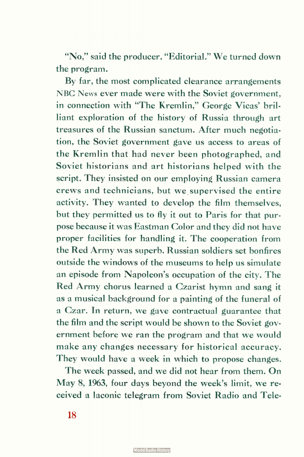"No," said the producer. "Editorial." We turned down the program.

By far, the most complicated clearance arrangements NBC News ever made were with the Soviet government, in connection with "The Kremlin," George Vicas' brilliant exploration of the history of Russia through art treasures of the Russian sanctum. After much negotiation, the Soviet government gave us access to areas of the Kremlin that had never been photographed, and Soviet historians and art historians helped with the script. They insisted on our employing Russian camera crews and technicians, but we supervised the entire activity. They wanted to develop the film themselves, but they permitted us to fly it out to Paris for that purpose because it was Eastman Color and they did not have proper facilities for handling it. The cooperation from the Red Army was superb. Russian soldiers set bonfires outside the windows of the museums to help us simulate an episode from Napoleon's occupation of the city. The Red Army chorus learned a Czarist hymn and sang it as a musical background for a painting of the funeral of a Czar. In return, we gave contractual guarantee that the film and the script would be shown to the Soviet government before we ran the program and that we would make any changes necessary for historical accuracy. They would have a week in which to propose changes.

The week passed, and we did not hear from them. On May 8, 1963, four days beyond the week's limit, we received a laconic telegram from Soviet Radio and Tele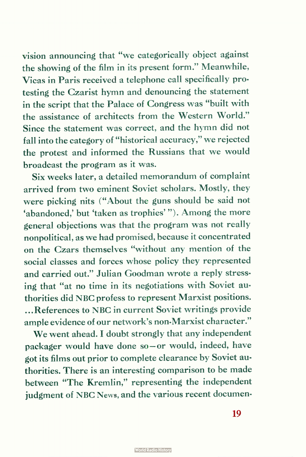vision announcing that "we categorically object against the showing of the film in its present form." Meanwhile, Vicas in Paris received a telephone call specifically protesting the Czarist hymn and denouncing the statement in the script that the Palace of Congress was "built with the assistance of architects from the Western World." Since the statement was correct, and the hymn did not fall into the category of "historical accuracy," we rejected the protest and informed the Russians that we would broadcast the program as it was.

Six weeks later, a detailed memorandum of complaint arrived from two eminent Soviet scholars. Mostly, they were picking nits (" About the guns should be said not 'abandoned,' but 'taken as trophies' "). Among the more general objections was that the program was not really nonpolitical, as we had promised, because it concentrated on the Czars themselves "without any mention of the social classes and forces whose policy they represented and carried out." Julian Goodman wrote a reply stressing that "at no time in its negotiations with Soviet authorities did NBC profess to represent Marxist positions. ...References to NBC in current Soviet writings provide ample evidence of our network's non-Marxist character."

We went ahead. I doubt strongly that any independent packager would have done so— or would, indeed, have got its films out prior to complete clearance by Soviet authorities. There is an interesting comparison to be made between "The Kremlin," representing the independent judgment of NBC News, and the various recent documen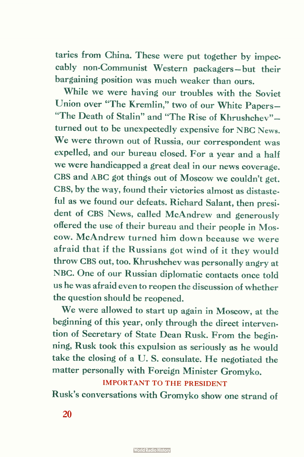taries from China. These were put together by impeccably non-Communist Western packagers— but their bargaining position was much weaker than ours.

While we were having our troubles with the Soviet Union over "The Kremlin," two of our White Papers-"The Death of Stalin" and "The Rise of Khrushchev" turned out to be unexpectedly expensive for NBC News. We were thrown out of Russia, our correspondent was expelled, and our bureau closed. For a year and a half we were handicapped a great deal in our news coverage. CBS and ABC got things out of Moscow we couldn't get. CBS, by the way, found their victories almost as distasteful as we found our defeats. Richard Salant, then president of CBS News, called McAndrew and generously offered the use of their bureau and their people in Moscow. McAndrew turned him down because we were afraid that if the Russians got wind of it they would throw CBS out, too. Khrushchev was personally angry at NBC. One of our Russian diplomatic contacts once told us he was afraid even to reopen the discussion of whether the question should be reopened.

We were allowed to start up again in Moscow, at the beginning of this year, only through the direct intervention of Secretary of State Dean Rusk. From the beginning, Rusk took this expulsion as seriously as he would take the closing of a U. S. consulate. He negotiated the matter personally with Foreign Minister Gromyko.

IMPORTANT TO THE PRESIDENT

Rusk's conversations with Gromyko show one strand of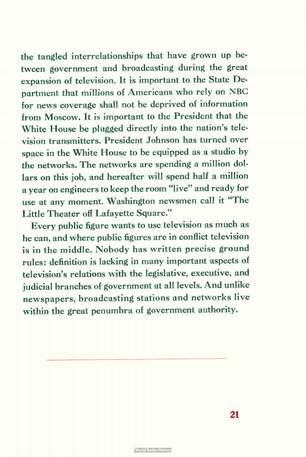the tangled interrelationships that have grown up between government and broadcasting during the great expansion of television. It is important to the State Department that millions of Americans who rely on NBC for news coverage shall not be deprived of information from Moscow. It is important to the President that the White House be plugged directly into the nation's television transmitters. President Johnson has turned over space in the White House to be equipped as a studio by the networks. The networks are spending a million dollars on this job, and hereafter will spend half a million a year on engineers to keep the room "live" and ready for use at any moment. Washington newsmen call it "The Little Theater off Lafayette Square."

Every public figure wants to use television as much as he can, and where public figures are in conflict television is in the middle. Nobody has written precise ground rules: definition is lacking in many important aspects of television's relations with the legislative, executive, and judicial branches of government at all levels. And unlike newspapers, broadcasting stations and networks live within the great penumbra of government authority.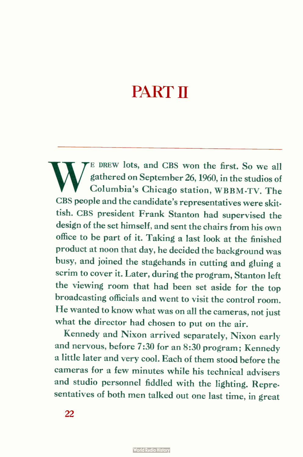# PART II

E DREW lots, and CBS won the first. So we all gathered on September 26, 1960, in the studios of Columbia's Chicago station, WBBM-TV. The CBS people and the candidate's representatives were skittish. CBS president Frank Stanton had supervised the design of the set himself, and sent the chairs from his own office to be part of it. Taking a last look at the finished product at noon that day, he decided the background was busy, and joined the stagehands in cutting and gluing a scrim to cover it. Later, during the program, Stanton left the viewing room that had been set aside for the top broadcasting officials and went to visit the control room. He wanted to know what was on all the cameras, not just what the director had chosen to put on the air.

Kennedy and Nixon arrived separately, Nixon early and nervous, before 7:30 for an 8:30 program; Kennedy a little later and very cool. Each of them stood before the cameras for a few minutes while his technical advisers and studio personnel fiddled with the lighting. Representatives of both men talked out one last time, in great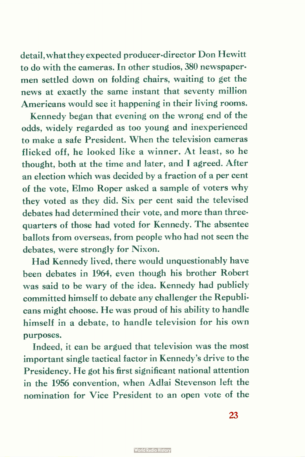detail, what they expected producer- director Don Hewitt to do with the cameras. In other studios, 380 newspapermen settled down on folding chairs, waiting to get the news at exactly the same instant that seventy million Americans would see it happening in their living rooms.

Kennedy began that evening on the wrong end of the odds, widely regarded as too young and inexperienced to make a safe President. When the television cameras flicked off, he looked like a winner. At least, so he thought, both at the time and later, and I agreed. After an election which was decided by a fraction of a per cent of the vote, Elmo Roper asked a sample of voters why they voted as they did. Six per cent said the televised debates had determined their vote, and more than threequarters of those had voted for Kennedy. The absentee ballots from overseas, from people who had not seen the debates, were strongly for Nixon.

Had Kennedy lived, there would unquestionably have been debates in 1964, even though his brother Robert was said to be wary of the idea. Kennedy had publicly committed himself to debate any challenger the Republicans might choose. He was proud of his ability to handle himself in a debate, to handle television for his own purposes.

Indeed, it can be argued that television was the most important single tactical factor in Kennedy's drive to the Presidency. He got his first significant national attention in the 1956 convention, when Adlai Stevenson left the nomination for Vice President to an open vote of the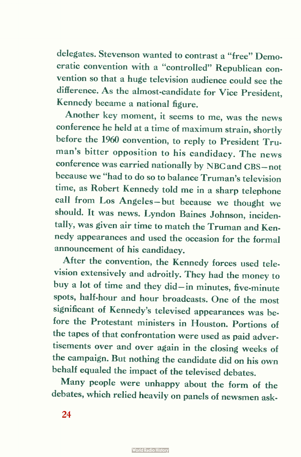delegates. Stevenson wanted to contrast a "free" Democratic convention with a "controlled" Republican convention so that a huge television audience could see the difference. As the almost-candidate for Vice President, Kennedy became a national figure.

Another key moment, it seems to me, was the news conference he held at a time of maximum strain, shortly before the 1960 convention, to reply to President Truman's bitter opposition to his candidacy. The news conference was carried nationally by NBC and CBS— not because we "had to do so to balance Truman's television time, as Robert Kennedy told me in a sharp telephone call from Los Angeles— but because we thought we should. It was news. Lyndon Baines Johnson, incidentally, was given air time to match the Truman and Kennedy appearances and used the occasion for the formal announcement of his candidacy.

After the convention, the Kennedy forces used television extensively and adroitly. They had the money to buy a lot of time and they did— in minutes, five-minute spots, half-hour and hour broadcasts. One of the most significant of Kennedy's televised appearances was before the Protestant ministers in Houston. Portions of the tapes of that confrontation were used as paid advertisements over and over again in the closing weeks of the campaign. But nothing the candidate did on his own behalf equaled the impact of the televised debates.

Many people were unhappy about the form of the debates, which relied heavily on panels of newsmen ask-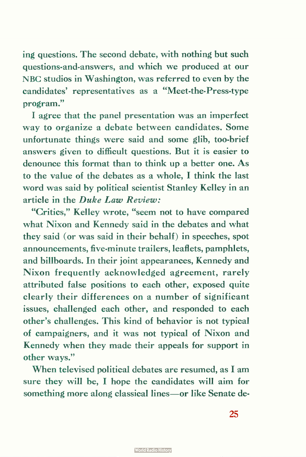ing questions. The second debate, with nothing but such questions-and-answers, and which we produced at our NBC studios in Washington, was referred to even by the candidates' representatives as a " Meet-the- Press-type program."

I agree that the panel presentation was an imperfect way to organize a debate between candidates. Some unfortunate things were said and some glib, too-brief answers given to difficult questions. But it is easier to denounce this format than to think up a better one. As to the value of the debates as a whole, I think the last word was said by political scientist Stanley Kelley in an article in the Duke Law Review:

"Critics," Kelley wrote, " seem not to have compared what Nixon and Kennedy said in the debates and what they said ( or was said in their behalf) in speeches, spot announcements, five-minute trailers, leaflets, pamphlets, and billboards. In their joint appearances, Kennedy and Nixon frequently acknowledged agreement, rarely attributed false positions to each other, exposed quite clearly their differences on a number of significant issues, challenged each other, and responded to each other's challenges. This kind of behavior is not typical of campaigners, and it was not typical of Nixon and Kennedy when they made their appeals for support in other ways."

When televised political debates are resumed, as I am sure they will be, I hope the candidates will aim for something more along classical lines—or like Senate de-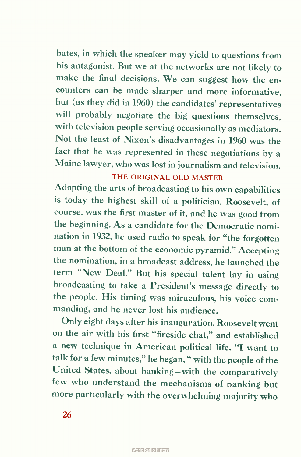bates, in which the speaker may yield to questions from his antagonist. But we at the networks are not likely to make the final decisions. We can suggest how the encounters can be made sharper and more informative, but ( as they did in 1960) the candidates' representatives will probably negotiate the big questions themselves, with television people serving occasionally as mediators. Not the least of Nixon's disadvantages in 1960 was the fact that he was represented in these negotiations by a Maine lawyer, who was lost in journalism and television.

### THE ORIGINAL OLD MASTER

Adapting the arts of broadcasting to his own capabilities is today the highest skill of a politician. Roosevelt, of course, was the first master of it, and he was good from the beginning. As a candidate for the Democratic nomination in 1932, he used radio to speak for "the forgotten man at the bottom of the economic pyramid." Accepting the nomination, in a broadcast address, he launched the term "New Deal." But his special talent lay in using broadcasting to take a President's message directly to the people. His timing was miraculous, his voice commanding, and he never lost his audience.

Only eight days after his inauguration, Roosevelt went on the air with his first "fireside chat," and established a new technique in American political life. "I want to talk for a few minutes," he began, " with the people of the United States, about banking— with the comparatively few who understand the mechanisms of banking but more particularly with the overwhelming majority who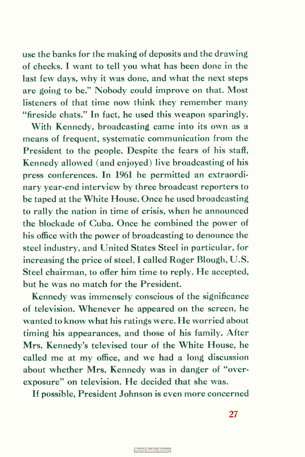use the banks for the making of deposits and the drawing of checks. I want to tell you what has been done in the last few days, why it was done, and what the next steps are going to be." Nobody could improve on that. Most listeners of that time now think they remember many "fireside chats." In fact, he used this weapon sparingly.

With Kennedy, broadcasting came into its own as a means of frequent, systematic communication from the President to the people. Despite the fears of his staff, Kennedy allowed (and enjoyed) live broadcasting of his press conferences. In 1961 he permitted an extraordinary year-end interview by three broadcast reporters to be taped at the White House. Once he used broadcasting to rally the nation in time of crisis, when he announced the blockade of Cuba. Once he combined the power of his office with the power of broadcasting to denounce the steel industry, and United States Steel in particular, for increasing the price of steel. I called Roger Blough, U.S. Steel chairman, to offer him time to reply. He accepted, but he was no match for the President.

Kennedy was immensely conscious of the significance of television. Whenever he appeared on the screen, he wanted to know what his ratings were. He worried about timing his appearances, and those of his family. After Mrs. Kennedy's televised tour of the White House, he called me at my office, and we had a long discussion about whether Mrs. Kennedy was in danger of "overexposure" on television. He decided that she was.

If possible, President Johnson is even more concerned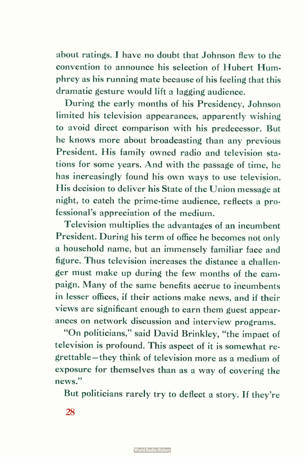about ratings. I have no doubt that Johnson flew to the convention to announce his selection of Hubert Humphrey as his running mate because of his feeling that this dramatic gesture would lift a lagging audience.

During the early months of his Presidency, Johnson limited his television appearances, apparently wishing to avoid direct comparison with his predecessor. But he knows more about broadcasting than any previous President. His family owned radio and television stations for some years. And with the passage of time, he has increasingly found his own ways to use television. His decision to deliver his State of the Union message at night, to catch the prime-time audience, reflects a professional's appreciation of the medium.

Television multiplies the advantages of an incumbent President. During his term of office he becomes not only a household name, but an immensely familiar face and figure. Thus television increases the distance a challenger must make up during the few months of the campaign. Many of the same benefits accrue to incumbents in lesser offices, if their actions make news, and if their views are significant enough to earn them guest appearances on network discussion and interview programs.

"On politicians," said David Brinkley, "the impact of television is profound. This aspect of it is somewhat regrettable — they think of television more as a medium of exposure for themselves than as a way of covering the news."

But politicians rarely try to deflect a story. If they're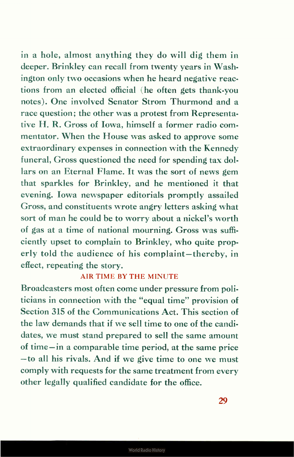in a hole, almost anything they do will dig them in deeper. Brinkley can recall from twenty years in Washington only two occasions when he heard negative reactions from an elected official (he often gets thank-you notes). One involved Senator Strom Thurmond and a race question; the other was a protest from Representative H. R. Gross of Iowa, himself a former radio commentator. When the House was asked to approve some extraordinary expenses in connection with the Kennedy funeral, Gross questioned the need for spending tax dollars on an Eternal Flame. It was the sort of news gem that sparkles for Brinkley, and he mentioned it that evening. Iowa newspaper editorials promptly assailed Gross, and constituents wrote angry letters asking what sort of man he could be to worry about a nickel's worth of gas at a time of national mourning. Gross was sufficiently upset to complain to Brinkley, who quite properly told the audience of his complaint —thereby, in effect, repeating the story.

#### AIR TIME BY THE MINUTE

Broadcasters most often come under pressure from politicians in connection with the "equal time" provision of Section 315 of the Communications Act. This section of the law demands that if we sell time to one of the candidates, we must stand prepared to sell the same amount of time— in a comparable time period, at the same price —to all his rivals. And if we give time to one we must comply with requests for the same treatment from every other legally qualified candidate for the office.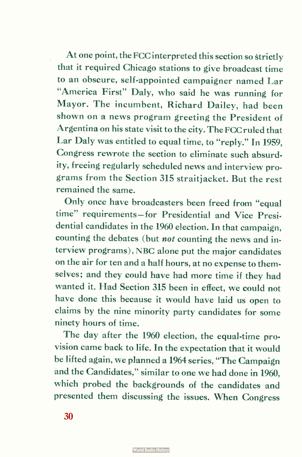At one point, the FCC interpreted this section so strictly that it required Chicago stations to give broadcast time to an obscure, self-appointed campaigner named Lar "America First" Daly, who said he was running for Mayor. The incumbent, Richard Dailey, had been shown on a news program greeting the President of Argentina on his state visit to the city. The FCC ruled that Lar Daly was entitled to equal time, to "reply." In 1959, Congress rewrote the section to eliminate such absurdity, freeing regularly scheduled news and interview programs from the Section 315 straitjacket. But the rest remained the same.

Only once have broadcasters been freed from "equal time" requirements— for Presidential and Vice Presidential candidates in the 1960 election. In that campaign, counting the debates (but *not* counting the news and interview programs), NBC alone put the major candidates on the air for ten and a half hours, at no expense to themselves; and they could have had more time if they had wanted it. Had Section 315 been in effect, we could not have done this because it would have laid us open to claims by the nine minority party candidates for some ninety hours of time.

The day after the 1960 election, the equal-time provision came back to life. In the expectation that it would be lifted again, we planned a 1964 series, " The Campaign and the Candidates," similar to one we had done in 1960, which probed the backgrounds of the candidates and presented them discussing the issues. When Congress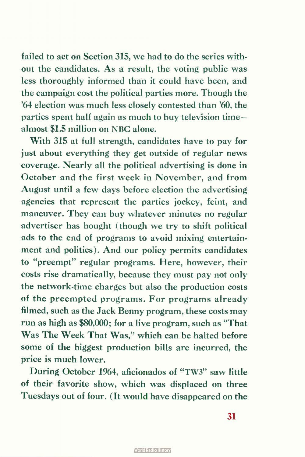failed to act on Section 315, we had to do the series without the candidates. As a result, the voting public was less thoroughly informed than it could have been, and the campaign cost the political parties more. Though the '64 election was much less closely contested than '60, the parties spent half again as much to buy television time almost \$1.5 million on NBC alone.

With 315 at full strength, candidates have to pay for just about everything they get outside of regular news coverage. Nearly all the political advertising is done in October and the first week in November, and from August until a few days before election the advertising agencies that represent the parties jockey, feint, and maneuver. They can buy whatever minutes no regular advertiser has bought ( though we try to shift political ads to the end of programs to avoid mixing entertainment and politics). And our policy permits candidates to "preempt" regular programs. Here, however, their costs rise dramatically, because they must pay not only the network-time charges but also the production costs of the preempted programs. For programs already filmed, such as the Jack Benny program, these costs may run as high as \$80,000; for a live program, such as "That Was The Week That Was," which can be halted before some of the biggest production bills are incurred, the price is much lower.

During October 1964, aficionados of "TW3" saw little of their favorite show, which was displaced on three Tuesdays out of four. ( It would have disappeared on the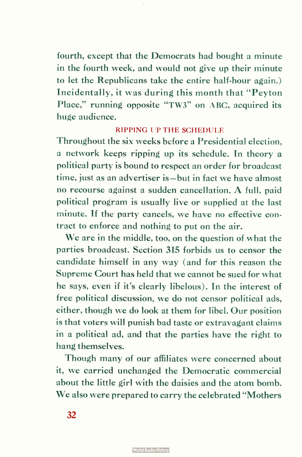fourth, except that the Democrats had bought a minute in the fourth week, and would not give up their minute to let the Republicans take the entire half-hour again.) Incidentally, it was during this month that " Peyton Place," running opposite "TW3" on ABC, acquired its huge audience.

#### RIPPING UP THE SCHEDULE

Throughout the six weeks before a Presidential election, a network keeps ripping up its schedule. In theory a political party is bound to respect an order for broadcast time, just as an advertiser is— but in fact we have almost no recourse against a sudden cancellation. A full, paid political program is usually live or supplied at the last minute. If the party cancels, we have no effective contract to enforce and nothing to put on the air.

We are in the middle, too, on the question of what the parties broadcast. Section 315 forbids us to censor the candidate himself in any way ( and for this reason the Supreme Court has held that we cannot be sued for what he says, even if it's clearly libelous). In the interest of free political discussion, we do not censor political ads, either, though we do look at them for libel. Our position is that voters will punish bad taste or extravagant claims in a political ad, and that the parties have the right to hang themselves.

Though many of our affiliates were concerned about it, we carried unchanged the Democratic commercial about the little girl with the daisies and the atom bomb. We also were prepared to carry the celebrated "Mothers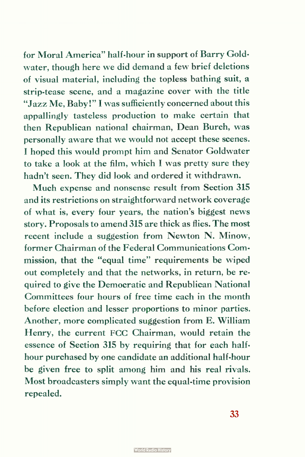for Moral America" half-hour in support of Barry Goldwater, though here we did demand a few brief deletions of visual material, including the topless bathing suit, a strip-tease scene, and a magazine cover with the title "Jazz Me, Baby!" I was sufficiently concerned about this appallingly tasteless production to make certain that then Republican national chairman, Dean Burch, was personally aware that we would not accept these scenes. I hoped this would prompt him and Senator Goldwater to take a look at the film, which I was pretty sure they hadn't seen. They did look and ordered it withdrawn.

Much expense and nonsense result from Section 315 and its restrictions on straightforward network coverage of what is, every four years, the nation's biggest news story. Proposals to amend 315 are thick as flies. The most recent include a suggestion from Newton N. Minow, former Chairman of the Federal Communications Commission, that the "equal time" requirements be wiped out completely and that the networks, in return, be required to give the Democratic and Republican National Committees four hours of free time each in the month before election and lesser proportions to minor parties. Another, more complicated suggestion from E. William Henry, the current FCC Chairman, would retain the essence of Section 315 by requiring that for each halfhour purchased by one candidate an additional half-hour be given free to split among him and his real rivals. Most broadcasters simply want the equal-time provision repealed.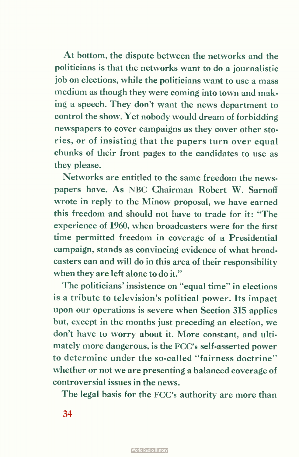At bottom, the dispute between the networks and the politicians is that the networks want to do a journalistic job on elections, while the politicians want to use a mass medium as though they were coming into town and making a speech. They don't want the news department to control the show. Yet nobody would dream of forbidding newspapers to cover campaigns as they cover other stories, or of insisting that the papers turn over equal chunks of their front pages to the candidates to use as they please.

Networks are entitled to the same freedom the newspapers have. As NBC Chairman Robert W. Sarnoff wrote in reply to the Minow proposal, we have earned this freedom and should not have to trade for it: "The experience of 1960, when broadcasters were for the first time permitted freedom in coverage of a Presidential campaign, stands as convincing evidence of what broadcasters can and will do in this area of their responsibility when they are left alone to do it."

The politicians' insistence on "equal time" in elections is a tribute to television's political power. Its impact upon our operations is severe when Section 315 applies but, except in the months just preceding an election, we don't have to worry about it. More constant, and ultimately more dangerous, is the FCC's self-asserted power to determine under the so-called "fairness doctrine" whether or not we are presenting a balanced coverage of controversial issues in the news.

The legal basis for the FCC's authority are more than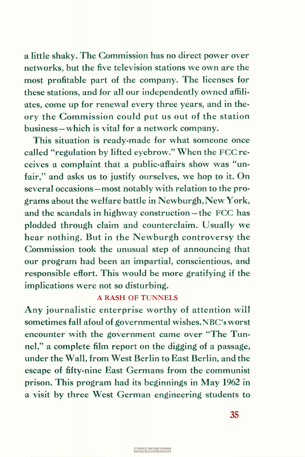a little shaky. The Commission has no direct power over networks, but the five television stations we own are the most profitable part of the company. The licenses for these stations, and for all our independently owned affiliates, come up for renewal every three years, and in theory the Commission could put us out of the station business— which is vital for a network company.

This situation is ready-made for what someone once called "regulation by lifted eyebrow." When the FCC receives a complaint that a public-affairs show was "unfair," and asks us to justify ourselves, we hop to it. On several occasions— most notably with relation to the programs about the welfare battle in Newburgh, New York, and the scandals in highway construction — the FCC has plodded through claim and counterclaim. Usually we hear nothing. But in the Newburgh controversy the Commission took the unusual step of announcing that our program had been an impartial, conscientious, and responsible effort. This would be more gratifying if the implications were not so disturbing.

#### A RASH OF TUNNELS

Any journalistic enterprise worthy of attention will sometimes fall afoul of governmental wishes.NBC's worst encounter with the government came over "The Tunnel," a complete film report on the digging of a passage, under the Wall, from West Berlin to East Berlin, and the escape of fifty-nine East Germans from the communist prison. This program had its beginnings in May 1962 in a visit by three West German engineering students to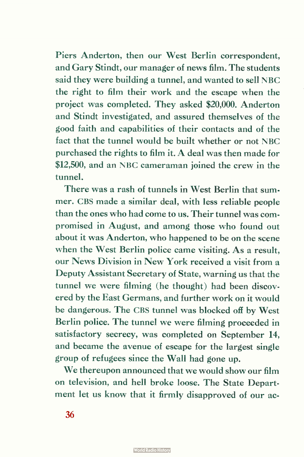Piers Anderton, then our West Berlin correspondent, and Gary Stindt, our manager of news film. The students said they were building a tunnel, and wanted to sell NBC the right to film their work and the escape when the project was completed. They asked \$20,000. Anderton and Stindt investigated, and assured themselves of the good faith and capabilities of their contacts and of the fact that the tunnel would be built whether or not NBC purchased the rights to film it. A deal was then made for \$12,500, and an NBC cameraman joined the crew in the tunnel.

There was a rash of tunnels in West Berlin that summer. CBS made a similar deal, with less reliable people than the ones who had come to us. Their tunnel was compromised in August, and among those who found out about it was Anderton, who happened to be on the scene when the West Berlin police came visiting. As a result, our News Division in New York received a visit from a Deputy Assistant Secretary of State, warning us that the tunnel we were filming ( he thought) had been discovered by the East Germans, and further work on it would be dangerous. The CBS tunnel was blocked off by West Berlin police. The tunnel we were filming proceeded in satisfactory secrecy, was completed on September 14, and became the avenue of escape for the largest single group of refugees since the Wall had gone up.

We thereupon announced that we would show our film on television, and hell broke loose. The State Department let us know that it firmly disapproved of our ac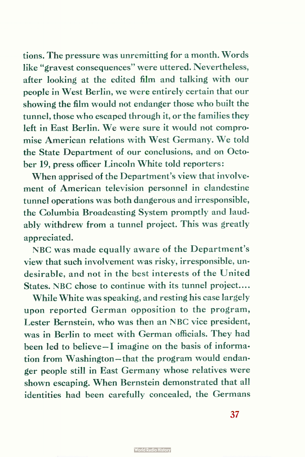tions. The pressure was unremitting for a month. Words like "gravest consequences" were uttered. Nevertheless, after looking at the edited film and talking with our people in West Berlin, we were entirely certain that our showing the film would not endanger those who built the tunnel, those who escaped through it, or the families they left in East Berlin. We were sure it would not compromise American relations with West Germany. We told the State Department of our conclusions, and on October 19, press officer Lincoln White told reporters:

When apprised of the Department's view that involvement of American television personnel in clandestine tunnel operations was both dangerous and irresponsible, the Columbia Broadcasting System promptly and laudably withdrew from a tunnel project. This was greatly appreciated.

NBC was made equally aware of the Department's view that such involvement was risky, irresponsible, undesirable, and not in the best interests of the United States. NBC chose to continue with its tunnel project....

While White was speaking, and resting his case largely upon reported German opposition to the program, Lester Bernstein, who was then an NBC vice president, was in Berlin to meet with German officials. They had been led to believe-I imagine on the basis of information from Washington— that the program would endanger people still in East Germany whose relatives were shown escaping. When Bernstein demonstrated that all identities had been carefully concealed, the Germans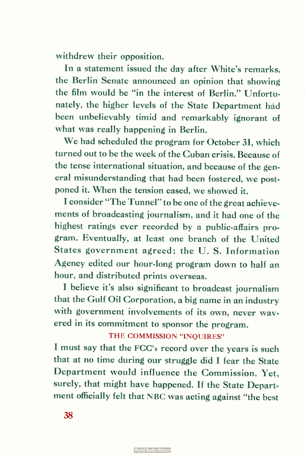withdrew their opposition.

In a statement issued the day after White's remarks, the Berlin Senate announced an opinion that showing the film would be "in the interest of Berlin." Unfortunately, the higher levels of the State Department had been unbelievably timid and remarkably ignorant of what was really happening in Berlin.

We had scheduled the program for October 31, which turned out to be the week of the Cuban crisis. Because of the tense international situation, and because of the general misunderstanding that had been fostered, we postponed it. When the tension eased, we showed it.

I consider "The Tunnel" to be one of the great achievements of broadcasting journalism, and it had one of the highest ratings ever recorded by a public-affairs program. Eventually, at least one branch of the United States government agreed: the U. S. Information Agency edited our hour-long program down to half an hour, and distributed prints overseas.

I believe it's also significant to broadcast journalism that the Gulf Oil Corporation, a big name in an industry with government involvements of its own, never wavered in its commitment to sponsor the program.

### THE COMMISSION "INQUIRES"

I must say that the FCC's record over the years is such that at no time during our struggle did I fear the State Department would influence the Commission. Yet, surely, that might have happened. If the State Department officially felt that NBC was acting against "the best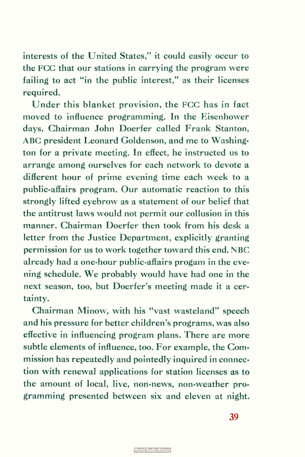interests of the United States," it could easily occur to the FCC that our stations in carrying the program were failing to act "in the public interest," as their licenses required.

Under this blanket provision, the FCC has in fact moved to influence programming. In the Eisenhower days, Chairman John Doerfer called Frank Stanton, ABC president Leonard Goldenson, and me to Washington for a private meeting. In effect, he instructed us to arrange among ourselves for each network to devote a different hour of prime evening time each week to a public- affairs program. Our automatic reaction to this strongly lifted eyebrow as a statement of our belief that the antitrust laws would not permit our collusion in this manner. Chairman Doerfer then took from his desk a letter from the Justice Department, explicitly granting permission for us to work together toward this end. NBC already had a one-hour public-affairs progam in the evening schedule. We probably would have had one in the next season, too, but Doerfer's meeting made it a certainty.

Chairman Minow, with his "vast wasteland" speech and his pressure for better children's programs, was also effective in influencing program plans. There are more subtle elements of influence, too. For example, the Commission has repeatedly and pointedly inquired in connection with renewal applications for station licenses as to the amount of local, live, non-news, non-weather programming presented between six and eleven at night.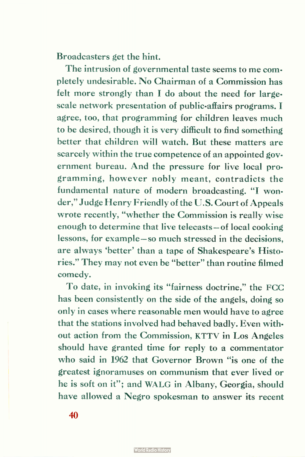Broadcasters get the hint.

The intrusion of governmental taste seems to me completely undesirable. No Chairman of a Commission has felt more strongly than I do about the need for largescale network presentation of public-affairs programs. I agree, too, that programming for children leaves much to be desired, though it is very difficult to find something better that children will watch. But these matters are scarcely within the true competence of an appointed government bureau. And the pressure for live local programming, however nobly meant, contradicts the fundamental nature of modern broadcasting. "I wonder," Judge Henry Friendly of the U.S. Court of Appeals wrote recently, "whether the Commission is really wise enough to determine that live telecasts —of local cooking lessons, for example —so much stressed in the decisions, are always 'better' than a tape of Shakespeare's Histories." They may not even be "better" than routine filmed comedy.

To date, in invoking its "fairness doctrine," the FCC has been consistently on the side of the angels, doing so only in cases where reasonable men would have to agree that the stations involved had behaved badly. Even without action from the Commission, KTTV in Los Angeles should have granted time for reply to a commentator who said in 1962 that Governor Brown "is one of the greatest ignoramuses on communism that ever lived or he is soft on it"; and WALG in Albany, Georgia, should have allowed a Negro spokesman to answer its recent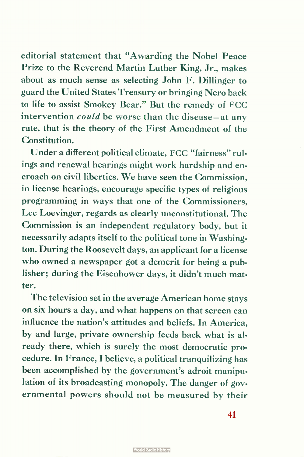editorial statement that "Awarding the Nobel Peace Prize to the Reverend Martin Luther King, Jr., makes about as much sense as selecting John F. Dillinger to guard the United States Treasury or bringing Nero back to life to assist Smokey Bear." But the remedy of FCC intervention could be worse than the disease— at any rate, that is the theory of the First Amendment of the Constitution.

Under a different political climate, FCC "fairness" rulings and renewal hearings might work hardship and encroach on civil liberties. We have seen the Commission, in license hearings, encourage specific types of religious programming in ways that one of the Commissioners, Lee Loevinger, regards as clearly unconstitutional. The Commission is an independent regulatory body, but it necessarily adapts itself to the political tone in Washington. During the Roosevelt days, an applicant for a license who owned a newspaper got a demerit for being a publisher: during the Eisenhower days, it didn't much matter.

The television set in the average American home stays on six hours a day, and what happens on that screen can influence the nation's attitudes and beliefs. In America, by and large, private ownership feeds back what is already there, which is surely the most democratic procedure. In France, I believe, a political tranquilizing has been accomplished by the government's adroit manipulation of its broadcasting monopoly. The danger of governmental powers should not be measured by their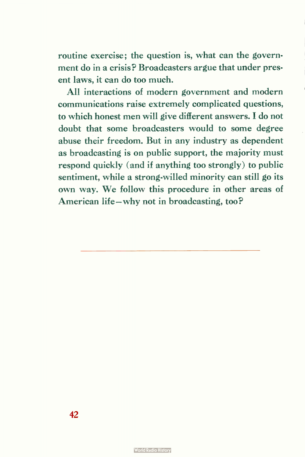routine exercise; the question is, what can the government do in a crisis? Broadcasters argue that under present laws, it can do too much.

All interactions of modern government and modern communications raise extremely complicated questions, to which honest men will give different answers. I do not doubt that some broadcasters would to some degree abuse their freedom. But in any industry as dependent as broadcasting is on public support, the majority must respond quickly ( and if anything too strongly) to public sentiment, while a strong-willed minority can still go its own way. We follow this procedure in other areas of American life—why not in broadcasting, too?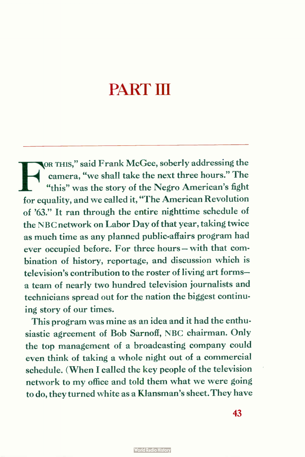# PART III

 $\mathbf{F}^{\text{\tiny \tiny QR}}_{\text{\tiny \tiny q}}$ OR THIS," said Frank McGee, soberly addressing the camera, "we shall take the next three hours." The "this" was the story of the Negro American's fight for equality, and we called it, " The American Revolution of '63." It ran through the entire nighttime schedule of the NBC network on Labor Day of that year, taking twice as much time as any planned public-affairs program had ever occupied before. For three hours — with that combination of history, reportage, and discussion which is television's contribution to the roster of living art forms a team of nearly two hundred television journalists and technicians spread out for the nation the biggest continuing story of our times.

This program was mine as an idea and it had the enthusiastic agreement of Bob Sarnoff, NBC chairman. Only the top management of a broadcasting company could even think of taking a whole night out of a commercial schedule. ( When I called the key people of the television network to my office and told them what we were going to do, they turned white as a Klansman's sheet, They have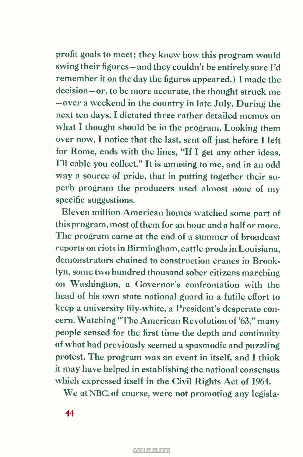profit goals to meet; they knew how this program would swing their figures — and they couldn't be entirely sure I'd remember it on the day the figures appeared.) I made the decision — or, to be more accurate, the thought struck me — over a weekend in the country in late July. During the next ten days, I dictated three rather detailed memos on what I thought should be in the program. Looking them over now, I notice that the last, sent off just before I left for Rome, ends with the lines, "If I get any other ideas, I'll cable you collect." It is amusing to me, and in an odd way a source of pride, that in putting together their superb program the producers used almost none of my specific suggestions.

Eleven million American homes watched some part of this program, most of them for an hour and a half or more. The program came at the end of a summer of broadcast reports on riots in Birmingham, cattle prods in Louisiana, demonstrators chained to construction cranes in Brooklyn, some two hundred thousand sober citizens marching on Washington, a Governor's confrontation with the head of his own state national guard in a futile effort to keep a university lily-white, a President's desperate concern. Watching "The American Revolution of '63," many people sensed for the first time the depth and continuity of what had previously seemed a spasmodic and puzzling protest. The program was an event in itself, and I think it may have helped in establishing the national consensus which expressed itself in the Civil Rights Act of 1964.

We at NBC, of course, were not promoting any legisla-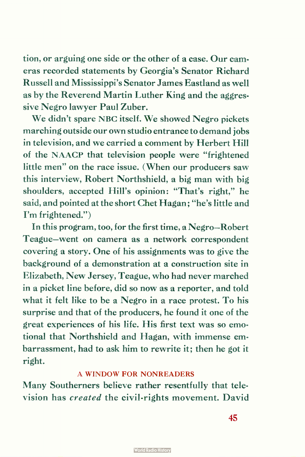tion, or arguing one side or the other of a case. Our cameras recorded statements by Georgia's Senator Richard Russell and Mississippi's Senator James Eastland as well as by the Reverend Martin Luther King and the aggressive Negro lawyer Paul Zuber.

We didn't spare NBC itself. We showed Negro pickets marching outside our own studio entrance to demand jobs in television, and we carried a comment by Herbert Hill of the NAACP that television people were "frightened little men" on the race issue. ( When our producers saw this interview, Robert Northshield, a big man with big shoulders, accepted Hill's opinion: "That's right," he said, and pointed at the short Chet Hagan; " he's little and I'm frightened.")

In this program, too, for the first time, a Negro—Robert Teague—went on camera as a network correspondent covering a story. One of his assignments was to give the background of a demonstration at a construction site in Elizabeth, New Jersey, Teague, who had never marched in a picket line before, did so now as a reporter, and told what it felt like to be a Negro in a race protest. To his surprise and that of the producers, he found it one of the great experiences of his life. His first text was so emotional that Northshield and Hagan, with immense embarrassment, had to ask him to rewrite it; then he got it right.

#### A WINDOW FOR NONREADERS

Many Southerners believe rather resentfully that television has created the civil-rights movement. David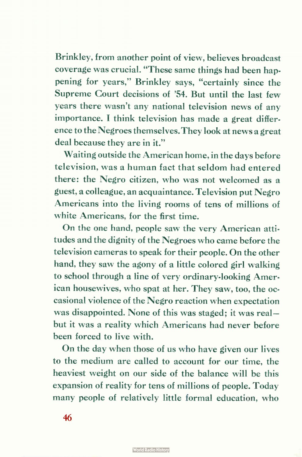Brinkley, from another point of view, believes broadcast coverage was crucial. "These same things had been happening for years," Brinkley says, " certainly since the Supreme Court decisions of '54. But until the last few years there wasn't any national television news of any importance. I think television has made a great difference to the Negroes themselves.They look at news a great deal because they are in it."

Waiting outside the American home, in the days before television, was a human fact that seldom had entered there: the Negro citizen, who was not welcomed as a guest, a colleague, an acquaintance. Television put Negro Americans into the living rooms of tens of millions of white Americans, for the first time.

On the one hand, people saw the very American attitudes and the dignity of the Negroes who came before the television cameras to speak for their people. On the other hand, they saw the agony of a little colored girl walking to school through a line of very ordinary-looking American housewives, who spat at her. They saw, too, the occasional violence of the Negro reaction when expectation was disappointed. None of this was staged; it was real but it was a reality which Americans had never before been forced to live with.

On the day when those of us who have given our lives to the medium are called to account for our time, the heaviest weight on our side of the balance will be this expansion of reality for tens of millions of people. Today many people of relatively little formal education, who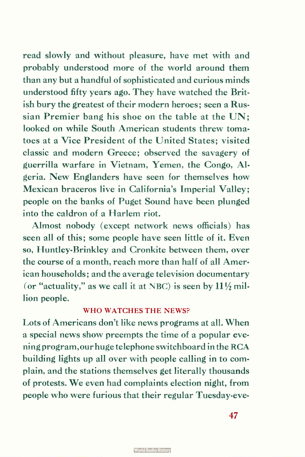read slowly and without pleasure, have met with and probably understood more of the world around them than any but a handful of sophisticated and curious minds understood fifty years ago. They have watched the British bury the greatest of their modern heroes; seen a Russian Premier bang his shoe on the table at the UN; looked on while South American students threw tomatoes at a Vice President of the United States; visited classic and modern Greece; observed the savagery of guerrilla warfare in Vietnam, Yemen, the Congo, Algeria. New Englanders have seen for themselves how Mexican braceros live in California's Imperial Valley; people on the banks of Puget Sound have been plunged into the caldron of a Harlem riot.

Almost nobody (except network news officials) has seen all of this; some people have seen little of it. Even so, Huntley-Brinkley and Cronkite between them, over the course of a month, reach more than half of all American households; and the average television documentary (or "actuality," as we call it at NBC) is seen by  $11\frac{1}{2}$  million people.

#### WHO WATCHES THE NEWS?

Lots of Americans don't like news programs at all. When a special news show preempts the time of a popular evening program, our huge telephone switchboard in the RCA building lights up all over with people calling in to complain, and the stations themselves get literally thousands of protests. We even had complaints election night, from people who were furious that their regular Tuesday-eve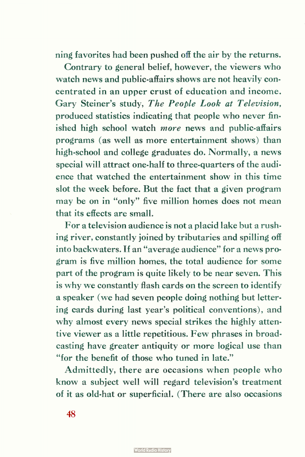hing favorites had been pushed off the air by the returns.

Contrary to general belief, however, the viewers who watch news and public-affairs shows are not heavily concentrated in an upper crust of education and income. Gary Steiner's study, The People Look at Television, produced statistics indicating that people who never finished high school watch more news and public-affairs programs (as well as more entertainment shows) than high-school and college graduates do. Normally, a news special will attract one-half to three-quarters of the audience that watched the entertainment show in this time slot the week before. But the fact that a given program may be on in "only" five million homes does not mean that its effects are small.

For a television audience is not a placid lake but a rushing river, constantly joined by tributaries and spilling off into backwaters. If an "average audience" for a news program is five million homes, the total audience for some part of the program is quite likely to be near seven. This is why we constantly flash cards on the screen to identify a speaker ( we had seven people doing nothing but lettering cards during last year's political conventions), and why almost every news special strikes the highly attentive viewer as a little repetitious. Few phrases in broadcasting have greater antiquity or more logical use than "for the benefit of those who tuned in late."

Admittedly, there are occasions when people who know a subject well will regard television's treatment of it as old- hat or superficial. ( There are also occasions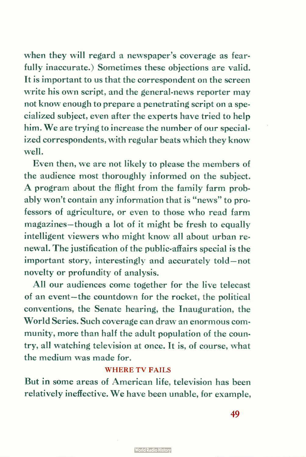when they will regard a newspaper's coverage as fearfully inaccurate.) Sometimes these objections are valid. It is important to us that the correspondent on the screen write his own script, and the general-news reporter may not know enough to prepare a penetrating script on a specialized subject, even after the experts have tried to help him. We are trying to increase the number of our specialized correspondents, with regular beats which they know well.

Even then, we are not likely to please the members of the audience most thoroughly informed on the subject. A program about the flight from the family farm probably won't contain any information that is " news" to professors of agriculture, or even to those who read farm magazines— though a lot of it might be fresh to equally intelligent viewers who might know all about urban renewal. The justification of the public-affairs special is the important story, interestingly and accurately told— not novelty or profundity of analysis.

All our audiences come together for the live telecast of an event— the countdown for the rocket, the political conventions, the Senate hearing, the Inauguration, the World Series. Such coverage can draw an enormous community, more than half the adult population of the country, all watching television at once. It is, of course, what the medium was made for.

#### WHERE TV FAILS

But in some areas of American life, television has been relatively ineffective. We have been unable, for example,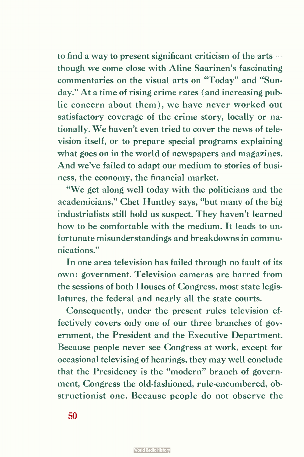to find a way to present significant criticism of the arts though we come close with Aline Saarinen's fascinating commentaries on the visual arts on "Today" and "Sunday." At a time of rising crime rates ( and increasing public concern about them), we have never worked out satisfactory coverage of the crime story, locally or nationally. We haven't even tried to cover the news of television itself, or to prepare special programs explaining what goes on in the world of newspapers and magazines. And we've failed to adapt our medium to stories of business, the economy, the financial market.

"We get along well today with the politicians and the academicians," Chet Huntley says, "but many of the big industrialists still hold us suspect. They haven't learned how to be comfortable with the medium. It leads to unfortunate misunderstandings and breakdowns in communications."

In one area television has failed through no fault of its own: government. Television cameras are barred from the sessions of both Houses of Congress, most state legislatures, the federal and nearly all the state courts.

Consequently, under the present rules television effectively covers only one of our three branches of government, the President and the Executive Department. Because people never see Congress at work, except for occasional televising of hearings, they may well conclude that the Presidency is the "modern" branch of government, Congress the old-fashioned, rule-encumbered, obstructionist one. Because people do not observe the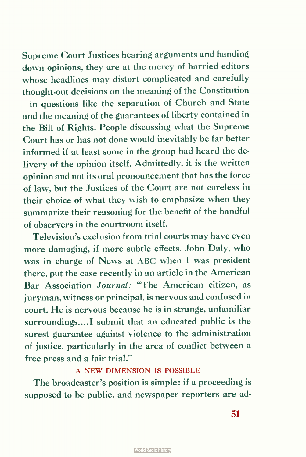Supreme Court Justices hearing arguments and handing down opinions, they are at the mercy of harried editors whose headlines may distort complicated and carefully thought-out decisions on the meaning of the Constitution —in questions like the separation of Church and State and the meaning of the guarantees of liberty contained in the Bill of Rights. People discussing what the Supreme Court has or has not done would inevitably be far better informed if at least some in the group had heard the delivery of the opinion itself. Admittedly, it is the written opinion and not its oral pronouncement that has the force of law, but the Justices of the Court are not careless in their choice of what they wish to emphasize when they summarize their reasoning for the benefit of the handful of observers in the courtroom itself.

Television's exclusion from trial courts may have even more damaging, if more subtle effects. John Daly, who was in charge of News at ABC when I was president there, put the case recently in an article in the American Bar Association Journal: "The American citizen, as juryman, witness or principal, is nervous and confused in court. He is nervous because he is in strange, unfamiliar surroundings....I submit that an educated public is the surest guarantee against violence to the administration of justice, particularly in the area of conflict between a free press and a fair trial."

#### A NEW DIMENSION IS POSSIBLE

The broadcaster's position is simple: if a proceeding is supposed to be public, and newspaper reporters are ad-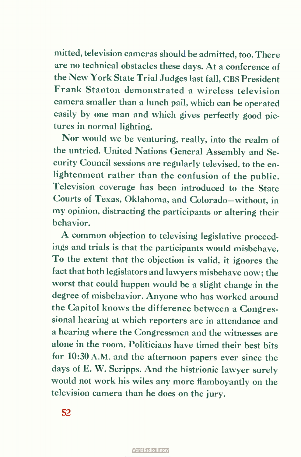mitted, television cameras should be admitted, too. There are no technical obstacles these days. At a conference of the New York State Trial Judges last fall, CBS President Frank Stanton demonstrated a wireless television camera smaller than a lunch pail, which can be operated easily by one man and which gives perfectly good pictures in normal lighting.

Nor would we be venturing, really, into the realm of the untried. United Nations General Assembly and Security Council sessions are regularly televised, to the enlightenment rather than the confusion of the public. Television coverage has been introduced to the State Courts of Texas, Oklahoma, and Colorado— without, in my opinion, distracting the participants or altering their behavior.

A common objection to televising legislative proceedings and trials is that the participants would misbehave. To the extent that the objection is valid, it ignores the fact that both legislators and lawyers misbehave now; the worst that could happen would be a slight change in the degree of misbehavior. Anyone who has worked around the Capitol knows the difference between a Congressional hearing at which reporters are in attendance and a hearing where the Congressmen and the witnesses are alone in the room. Politicians have timed their best bits for 10:30 A.M. and the afternoon papers ever since the days of E. W. Scripps. And the histrionic lawyer surely would not work his wiles any more flamboyantly on the television camera than he does on the jury.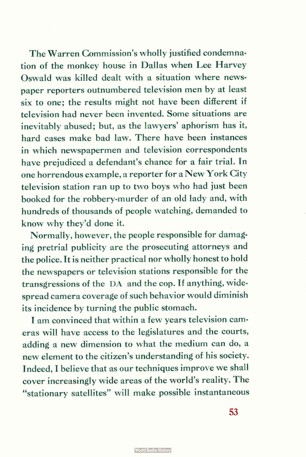The Warren Commission's wholly justified condemnation of the monkey house in Dallas when Lee Harvey Oswald was killed dealt with a situation where newspaper reporters outnumbered television men by at least six to one; the results might not have been different if television had never been invented. Some situations are inevitably abused; but, as the lawyers' aphorism has it, hard cases make bad law. There have been instances in which newspapermen and television correspondents have prejudiced a defendant's chance for a fair trial. In one horrendous example, a reporter for a New York City television station ran up to two boys who had just been booked for the robbery-murder of an old lady and, with hundreds of thousands of people watching, demanded to know why they'd done it.

Normally, however, the people responsible for damaging pretrial publicity are the prosecuting attorneys and the police. It is neither practical nor wholly honest to hold the newspapers or television stations responsible for the transgressions of the DA and the cop. If anything, widespread camera coverage of such behavior would diminish its incidence by turning the public stomach.

I am convinced that within a few years television cameras will have access to the legislatures and the courts, adding a new dimension to what the medium can do, a new element to the citizen's understanding of his society. Indeed, I believe that as our techniques improve we shall cover increasingly wide areas of the world's reality. The "stationary satellites" will make possible instantaneous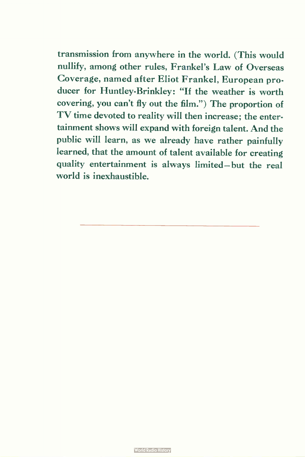transmission from anywhere in the world. ( This would nullify, among other rules, Frankel's Law of Overseas Coverage, named after Eliot Frankel, European producer for Huntley-Brinkley: "If the weather is worth covering, you can't fly out the film.") The proportion of TV time devoted to reality will then increase; the entertainment shows will expand with foreign talent. And the public will learn, as we already have rather painfully learned, that the amount of talent available for creating quality entertainment is always limited— but the real world is inexhaustible.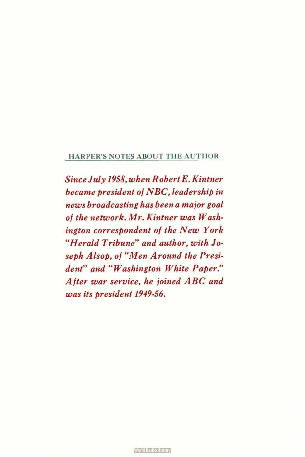#### HARPER'S NOTES ABOUT THE AUTHOR

Since July 1958, when Robert E. Kintner became president of NBC, leadership in news broadcasting has been a major goal of the network. Mr. Kintner was Washington correspondent of the New York "Herald Tribune" and author, with Joseph Alsop, of "Men Around the President" and "Washington White Paper." After war service, he joined ABC and was its president 1949-56.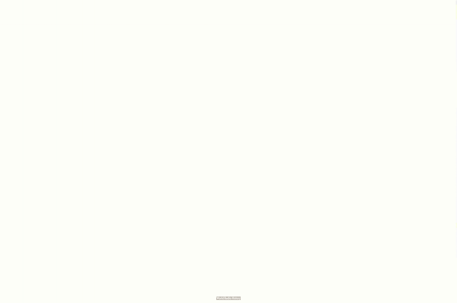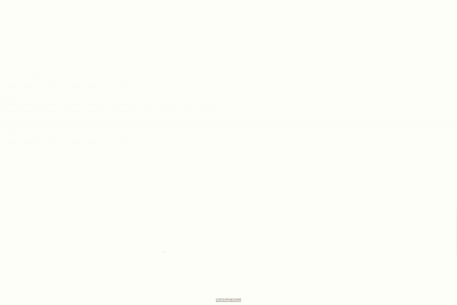